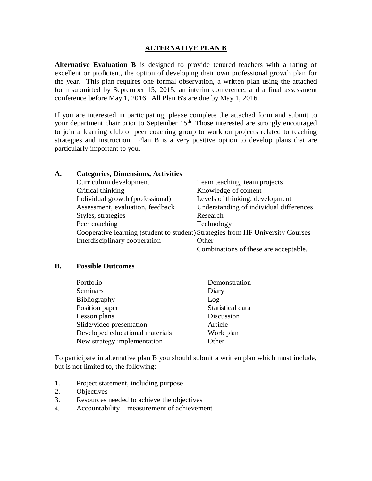## **ALTERNATIVE PLAN B**

**Alternative Evaluation B** is designed to provide tenured teachers with a rating of excellent or proficient, the option of developing their own professional growth plan for the year. This plan requires one formal observation, a written plan using the attached form submitted by September 15, 2015, an interim conference, and a final assessment conference before May 1, 2016. All Plan B's are due by May 1, 2016.

If you are interested in participating, please complete the attached form and submit to your department chair prior to September 15<sup>th</sup>. Those interested are strongly encouraged to join a learning club or peer coaching group to work on projects related to teaching strategies and instruction. Plan B is a very positive option to develop plans that are particularly important to you.

| A. | <b>Categories, Dimensions, Activities</b>                                       |                                         |
|----|---------------------------------------------------------------------------------|-----------------------------------------|
|    | Curriculum development                                                          | Team teaching; team projects            |
|    | Critical thinking                                                               | Knowledge of content                    |
|    | Individual growth (professional)                                                | Levels of thinking, development         |
|    | Assessment, evaluation, feedback                                                | Understanding of individual differences |
|    | Styles, strategies                                                              | Research                                |
|    | Peer coaching                                                                   | Technology                              |
|    | Cooperative learning (student to student) Strategies from HF University Courses |                                         |
|    | Interdisciplinary cooperation                                                   | Other                                   |
|    |                                                                                 | Combinations of these are acceptable.   |

## **B. Possible Outcomes**

| Portfolio                       | Demonstration    |
|---------------------------------|------------------|
| Seminars                        | Diary            |
| <b>Bibliography</b>             | Log              |
| Position paper                  | Statistical data |
| Lesson plans                    | Discussion       |
| Slide/video presentation        | Article          |
| Developed educational materials | Work plan        |
| New strategy implementation     | Other            |

To participate in alternative plan B you should submit a written plan which must include, but is not limited to, the following:

- 1. Project statement, including purpose
- 2. Objectives
- 3. Resources needed to achieve the objectives
- 4. Accountability measurement of achievement